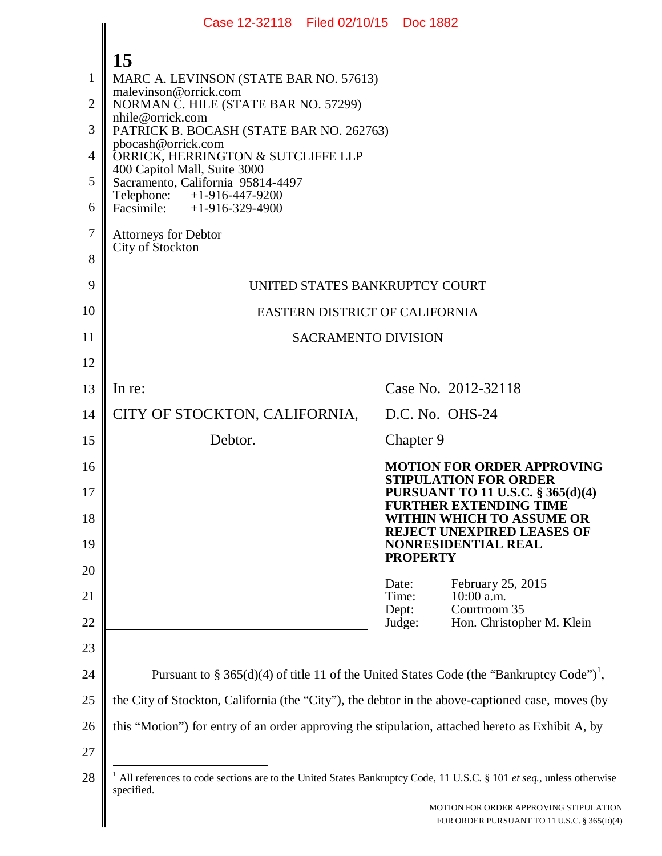|    | Case 12-32118 Filed 02/10/15 Doc 1882                                                                                                          |                |                 |                                                                                       |
|----|------------------------------------------------------------------------------------------------------------------------------------------------|----------------|-----------------|---------------------------------------------------------------------------------------|
|    | 15                                                                                                                                             |                |                 |                                                                                       |
| 1  | MARC A. LEVINSON (STATE BAR NO. 57613)                                                                                                         |                |                 |                                                                                       |
| 2  | malevinson@orrick.com<br>NORMAN C. HILE (STATE BAR NO. 57299)                                                                                  |                |                 |                                                                                       |
| 3  | nhile@orrick.com<br>PATRICK B. BOCASH (STATE BAR NO. 262763)                                                                                   |                |                 |                                                                                       |
| 4  | pbocash@orrick.com<br>ORRICK, HERRINGTON & SUTCLIFFE LLP                                                                                       |                |                 |                                                                                       |
| 5  | 400 Capitol Mall, Suite 3000<br>Sacramento, California 95814-4497                                                                              |                |                 |                                                                                       |
| 6  | Telephone:<br>+1-916-447-9200<br>Facsimile: $+1-916-329-4900$                                                                                  |                |                 |                                                                                       |
| 7  | <b>Attorneys for Debtor</b><br>City of Stockton                                                                                                |                |                 |                                                                                       |
| 8  |                                                                                                                                                |                |                 |                                                                                       |
| 9  | UNITED STATES BANKRUPTCY COURT                                                                                                                 |                |                 |                                                                                       |
| 10 | EASTERN DISTRICT OF CALIFORNIA                                                                                                                 |                |                 |                                                                                       |
| 11 | <b>SACRAMENTO DIVISION</b>                                                                                                                     |                |                 |                                                                                       |
| 12 |                                                                                                                                                |                |                 |                                                                                       |
| 13 | In re:                                                                                                                                         |                |                 | Case No. 2012-32118                                                                   |
| 14 | CITY OF STOCKTON, CALIFORNIA,                                                                                                                  |                | D.C. No. OHS-24 |                                                                                       |
| 15 | Debtor.                                                                                                                                        |                | Chapter 9       |                                                                                       |
| 16 |                                                                                                                                                |                |                 | <b>MOTION FOR ORDER APPROVING</b><br><b>STIPULATION FOR ORDER</b>                     |
| 17 |                                                                                                                                                |                |                 | <b>PURSUANT TO 11 U.S.C. § 365(d)(4)</b><br><b>FURTHER EXTENDING TIME</b>             |
| 18 |                                                                                                                                                |                |                 | WITHIN WHICH TO ASSUME OR<br><b>REJECT UNEXPIRED LEASES OF</b>                        |
| 19 |                                                                                                                                                |                | <b>PROPERTY</b> | NONRESIDENTIAL REAL                                                                   |
| 20 |                                                                                                                                                | Date:          |                 | February 25, 2015                                                                     |
| 21 |                                                                                                                                                | Time:<br>Dept: |                 | $10:00$ a.m.<br>Courtroom 35                                                          |
| 22 |                                                                                                                                                | Judge:         |                 | Hon. Christopher M. Klein                                                             |
| 23 |                                                                                                                                                |                |                 |                                                                                       |
| 24 | Pursuant to § 365(d)(4) of title 11 of the United States Code (the "Bankruptcy Code") <sup>1</sup> ,                                           |                |                 |                                                                                       |
| 25 | the City of Stockton, California (the "City"), the debtor in the above-captioned case, moves (by                                               |                |                 |                                                                                       |
| 26 | this "Motion") for entry of an order approving the stipulation, attached hereto as Exhibit A, by                                               |                |                 |                                                                                       |
| 27 |                                                                                                                                                |                |                 |                                                                                       |
| 28 | <sup>1</sup> All references to code sections are to the United States Bankruptcy Code, 11 U.S.C. § 101 et seq., unless otherwise<br>specified. |                |                 |                                                                                       |
|    |                                                                                                                                                |                |                 | MOTION FOR ORDER APPROVING STIPULATION<br>FOR ORDER PURSUANT TO 11 U.S.C. § 365(D)(4) |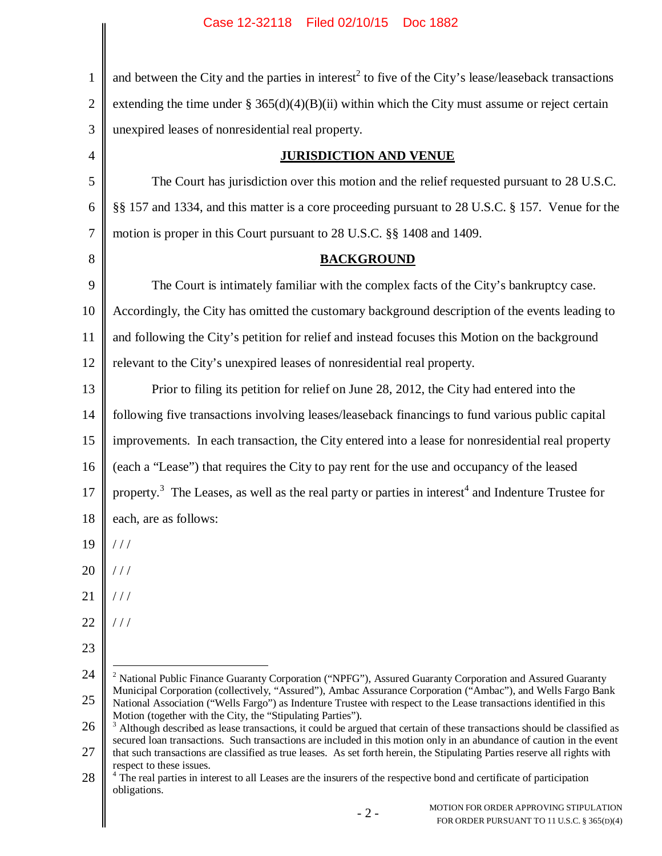| $\mathbf{1}$   | and between the City and the parties in interest <sup>2</sup> to five of the City's lease/leaseback transactions                                                                                                                                    |  |  |
|----------------|-----------------------------------------------------------------------------------------------------------------------------------------------------------------------------------------------------------------------------------------------------|--|--|
| $\overline{2}$ | extending the time under $\S 365(d)(4)(B)(ii)$ within which the City must assume or reject certain                                                                                                                                                  |  |  |
| 3              | unexpired leases of nonresidential real property.                                                                                                                                                                                                   |  |  |
| $\overline{4}$ | <b>JURISDICTION AND VENUE</b>                                                                                                                                                                                                                       |  |  |
| 5              | The Court has jurisdiction over this motion and the relief requested pursuant to 28 U.S.C.                                                                                                                                                          |  |  |
| 6              | §§ 157 and 1334, and this matter is a core proceeding pursuant to 28 U.S.C. § 157. Venue for the                                                                                                                                                    |  |  |
| $\tau$         | motion is proper in this Court pursuant to 28 U.S.C. §§ 1408 and 1409.                                                                                                                                                                              |  |  |
| 8              | <b>BACKGROUND</b>                                                                                                                                                                                                                                   |  |  |
| 9              | The Court is intimately familiar with the complex facts of the City's bankruptcy case.                                                                                                                                                              |  |  |
| 10             | Accordingly, the City has omitted the customary background description of the events leading to                                                                                                                                                     |  |  |
| 11             | and following the City's petition for relief and instead focuses this Motion on the background                                                                                                                                                      |  |  |
| 12             | relevant to the City's unexpired leases of nonresidential real property.                                                                                                                                                                            |  |  |
| 13             | Prior to filing its petition for relief on June 28, 2012, the City had entered into the                                                                                                                                                             |  |  |
| 14             | following five transactions involving leases/leaseback financings to fund various public capital                                                                                                                                                    |  |  |
| 15             | improvements. In each transaction, the City entered into a lease for nonresidential real property                                                                                                                                                   |  |  |
| 16             | (each a "Lease") that requires the City to pay rent for the use and occupancy of the leased                                                                                                                                                         |  |  |
| 17             | property. <sup>3</sup> The Leases, as well as the real party or parties in interest <sup>4</sup> and Indenture Trustee for                                                                                                                          |  |  |
| 18             | each, are as follows:                                                                                                                                                                                                                               |  |  |
| 19             | //                                                                                                                                                                                                                                                  |  |  |
| 20             | //                                                                                                                                                                                                                                                  |  |  |
| 21             | //                                                                                                                                                                                                                                                  |  |  |
| 22             | //                                                                                                                                                                                                                                                  |  |  |
| 23             |                                                                                                                                                                                                                                                     |  |  |
| 24             | <sup>2</sup> National Public Finance Guaranty Corporation ("NPFG"), Assured Guaranty Corporation and Assured Guaranty                                                                                                                               |  |  |
| 25             | Municipal Corporation (collectively, "Assured"), Ambac Assurance Corporation ("Ambac"), and Wells Fargo Bank<br>National Association ("Wells Fargo") as Indenture Trustee with respect to the Lease transactions identified in this                 |  |  |
| 26             | Motion (together with the City, the "Stipulating Parties").<br><sup>3</sup> Although described as lease transactions, it could be argued that certain of these transactions should be classified as                                                 |  |  |
| 27             | secured loan transactions. Such transactions are included in this motion only in an abundance of caution in the event<br>that such transactions are classified as true leases. As set forth herein, the Stipulating Parties reserve all rights with |  |  |
| 28             | respect to these issues.<br><sup>4</sup> The real parties in interest to all Leases are the insurers of the respective bond and certificate of participation<br>obligations.                                                                        |  |  |
|                | MOTION FOR ORDER APPROVING STIPULATION<br>$-2-$<br>FOR ORDER PURSUANT TO 11 U.S.C. § 365(D)(4)                                                                                                                                                      |  |  |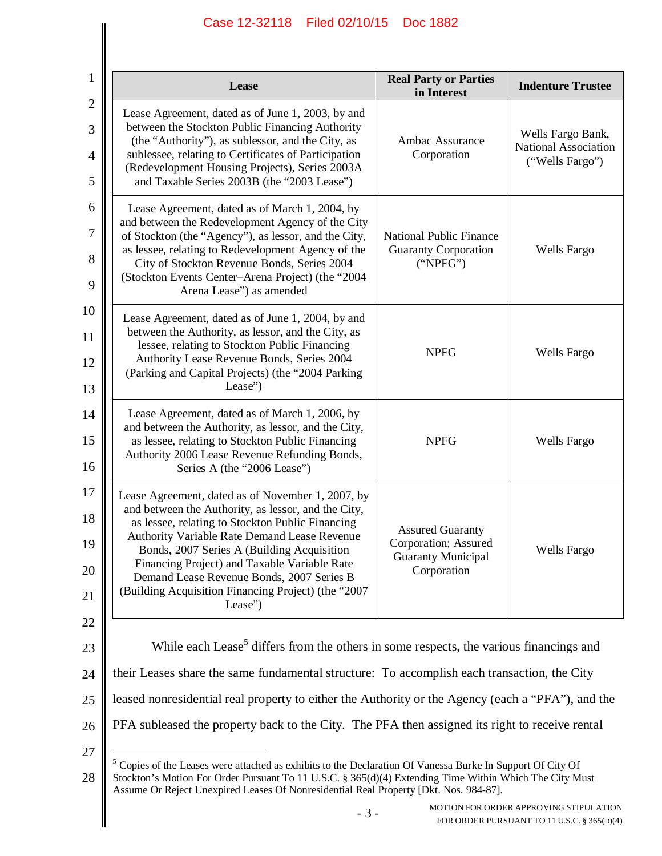| 1                             | <b>Real Party or Parties</b><br>Lease<br>in Interest                                                                                                                                                                                                                                                                                                                                                                      |                                                                                             | <b>Indenture Trustee</b>                                     |  |
|-------------------------------|---------------------------------------------------------------------------------------------------------------------------------------------------------------------------------------------------------------------------------------------------------------------------------------------------------------------------------------------------------------------------------------------------------------------------|---------------------------------------------------------------------------------------------|--------------------------------------------------------------|--|
| $\mathfrak{2}$<br>3<br>4<br>5 | Lease Agreement, dated as of June 1, 2003, by and<br>between the Stockton Public Financing Authority<br>(the "Authority"), as sublessor, and the City, as<br>sublessee, relating to Certificates of Participation<br>(Redevelopment Housing Projects), Series 2003A<br>and Taxable Series 2003B (the "2003 Lease")                                                                                                        | <b>Ambac Assurance</b><br>Corporation                                                       | Wells Fargo Bank,<br>National Association<br>("Wells Fargo") |  |
| 6<br>7<br>8<br>9              | Lease Agreement, dated as of March 1, 2004, by<br>and between the Redevelopment Agency of the City<br>of Stockton (the "Agency"), as lessor, and the City,<br>as lessee, relating to Redevelopment Agency of the<br>City of Stockton Revenue Bonds, Series 2004<br>(Stockton Events Center-Arena Project) (the "2004<br>Arena Lease") as amended                                                                          | <b>National Public Finance</b><br><b>Guaranty Corporation</b><br>("NPEG")                   | <b>Wells Fargo</b>                                           |  |
| 10<br>11<br>12<br>13          | Lease Agreement, dated as of June 1, 2004, by and<br>between the Authority, as lessor, and the City, as<br>lessee, relating to Stockton Public Financing<br>Authority Lease Revenue Bonds, Series 2004<br>(Parking and Capital Projects) (the "2004 Parking<br>Lease")                                                                                                                                                    | <b>NPFG</b>                                                                                 | Wells Fargo                                                  |  |
| 14<br>15<br>16                | Lease Agreement, dated as of March 1, 2006, by<br>and between the Authority, as lessor, and the City,<br>as lessee, relating to Stockton Public Financing<br>Authority 2006 Lease Revenue Refunding Bonds,<br>Series A (the "2006 Lease")                                                                                                                                                                                 | <b>NPFG</b>                                                                                 | Wells Fargo                                                  |  |
| 17<br>18<br>19<br>20<br>21    | Lease Agreement, dated as of November 1, 2007, by<br>and between the Authority, as lessor, and the City,<br>as lessee, relating to Stockton Public Financing<br>Authority Variable Rate Demand Lease Revenue<br>Bonds, 2007 Series A (Building Acquisition<br>Financing Project) and Taxable Variable Rate<br>Demand Lease Revenue Bonds, 2007 Series B<br>(Building Acquisition Financing Project) (the "2007<br>Lease") | <b>Assured Guaranty</b><br>Corporation; Assured<br><b>Guaranty Municipal</b><br>Corporation | <b>Wells Fargo</b>                                           |  |
| 22<br>23                      | While each Lease <sup>5</sup> differs from the others in some respects, the various financings and                                                                                                                                                                                                                                                                                                                        |                                                                                             |                                                              |  |
| 24                            | their Leases share the same fundamental structure: To accomplish each transaction, the City                                                                                                                                                                                                                                                                                                                               |                                                                                             |                                                              |  |
| 25<br>26                      | leased nonresidential real property to either the Authority or the Agency (each a "PFA"), and the<br>PFA subleased the property back to the City. The PFA then assigned its right to receive rental                                                                                                                                                                                                                       |                                                                                             |                                                              |  |
| 27<br>28                      | <sup>5</sup> Copies of the Leases were attached as exhibits to the Declaration Of Vanessa Burke In Support Of City Of<br>Stockton's Motion For Order Pursuant To 11 U.S.C. § 365(d)(4) Extending Time Within Which The City Must<br>Assume Or Reject Unexpired Leases Of Nonresidential Real Property [Dkt. Nos. 984-87].                                                                                                 |                                                                                             |                                                              |  |
|                               | MOTION FOR ORDER APPROVING STIPULATION<br>$-3-$<br>FOR ORDER PURSUANT TO 11 U.S.C. § 365(D)(4)                                                                                                                                                                                                                                                                                                                            |                                                                                             |                                                              |  |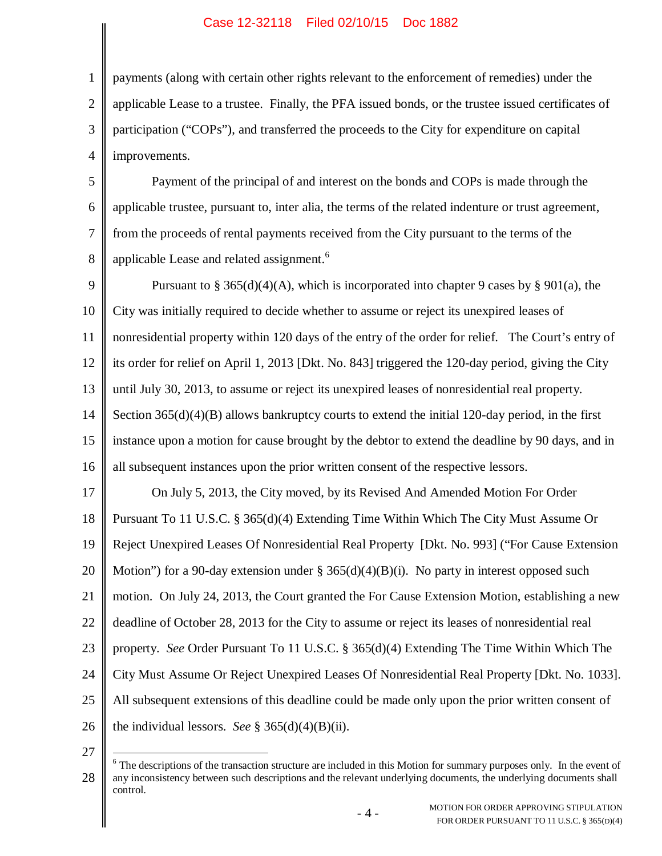1 2 3 4 payments (along with certain other rights relevant to the enforcement of remedies) under the applicable Lease to a trustee. Finally, the PFA issued bonds, or the trustee issued certificates of participation ("COPs"), and transferred the proceeds to the City for expenditure on capital improvements.

5 6 7 8 Payment of the principal of and interest on the bonds and COPs is made through the applicable trustee, pursuant to, inter alia, the terms of the related indenture or trust agreement, from the proceeds of rental payments received from the City pursuant to the terms of the applicable Lease and related assignment.<sup>6</sup>

9 10 11 12 13 14 15 16 Pursuant to § 365(d)(4)(A), which is incorporated into chapter 9 cases by § 901(a), the City was initially required to decide whether to assume or reject its unexpired leases of nonresidential property within 120 days of the entry of the order for relief. The Court's entry of its order for relief on April 1, 2013 [Dkt. No. 843] triggered the 120-day period, giving the City until July 30, 2013, to assume or reject its unexpired leases of nonresidential real property. Section 365(d)(4)(B) allows bankruptcy courts to extend the initial 120-day period, in the first instance upon a motion for cause brought by the debtor to extend the deadline by 90 days, and in all subsequent instances upon the prior written consent of the respective lessors.

17 18 19 20 21 22 23 24 25 26 On July 5, 2013, the City moved, by its Revised And Amended Motion For Order Pursuant To 11 U.S.C. § 365(d)(4) Extending Time Within Which The City Must Assume Or Reject Unexpired Leases Of Nonresidential Real Property [Dkt. No. 993] ("For Cause Extension Motion") for a 90-day extension under  $\S 365(d)(4)(B)(i)$ . No party in interest opposed such motion. On July 24, 2013, the Court granted the For Cause Extension Motion, establishing a new deadline of October 28, 2013 for the City to assume or reject its leases of nonresidential real property. *See* Order Pursuant To 11 U.S.C. § 365(d)(4) Extending The Time Within Which The City Must Assume Or Reject Unexpired Leases Of Nonresidential Real Property [Dkt. No. 1033]. All subsequent extensions of this deadline could be made only upon the prior written consent of the individual lessors. *See* § 365(d)(4)(B)(ii).

27

<sup>28</sup>  $6$  The descriptions of the transaction structure are included in this Motion for summary purposes only. In the event of any inconsistency between such descriptions and the relevant underlying documents, the underlying documents shall control.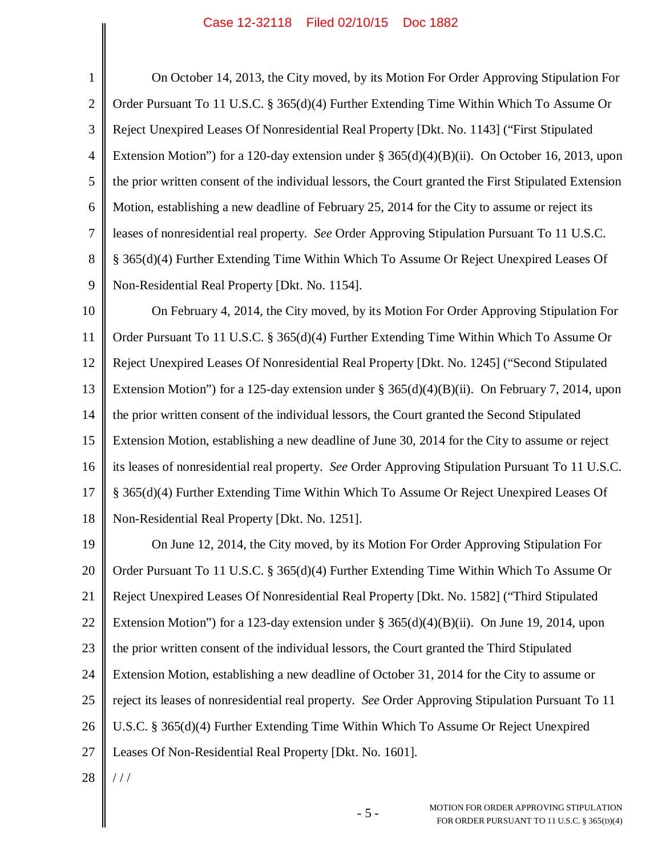| $\mathbf 1$    | On October 14, 2013, the City moved, by its Motion For Order Approving Stipulation For                |
|----------------|-------------------------------------------------------------------------------------------------------|
| $\overline{2}$ | Order Pursuant To 11 U.S.C. § 365(d)(4) Further Extending Time Within Which To Assume Or              |
| 3              | Reject Unexpired Leases Of Nonresidential Real Property [Dkt. No. 1143] ("First Stipulated            |
| $\overline{4}$ | Extension Motion") for a 120-day extension under $\S 365(d)(4)(B)(ii)$ . On October 16, 2013, upon    |
| 5              | the prior written consent of the individual lessors, the Court granted the First Stipulated Extension |
| 6              | Motion, establishing a new deadline of February 25, 2014 for the City to assume or reject its         |
| $\tau$         | leases of nonresidential real property. See Order Approving Stipulation Pursuant To 11 U.S.C.         |
| 8              | § 365(d)(4) Further Extending Time Within Which To Assume Or Reject Unexpired Leases Of               |
| 9              | Non-Residential Real Property [Dkt. No. 1154].                                                        |
| 10             | On February 4, 2014, the City moved, by its Motion For Order Approving Stipulation For                |
| 11             | Order Pursuant To 11 U.S.C. § 365(d)(4) Further Extending Time Within Which To Assume Or              |
| 12             | Reject Unexpired Leases Of Nonresidential Real Property [Dkt. No. 1245] ("Second Stipulated           |
| 13             | Extension Motion") for a 125-day extension under $\S 365(d)(4)(B)(ii)$ . On February 7, 2014, upon    |
| 14             | the prior written consent of the individual lessors, the Court granted the Second Stipulated          |
| 15             | Extension Motion, establishing a new deadline of June 30, 2014 for the City to assume or reject       |
| 16             | its leases of nonresidential real property. See Order Approving Stipulation Pursuant To 11 U.S.C.     |
| 17             | § 365(d)(4) Further Extending Time Within Which To Assume Or Reject Unexpired Leases Of               |
| 18             | Non-Residential Real Property [Dkt. No. 1251].                                                        |
| 19             | On June 12, 2014, the City moved, by its Motion For Order Approving Stipulation For                   |
| 20             | Order Pursuant To 11 U.S.C. § 365(d)(4) Further Extending Time Within Which To Assume Or              |
| 21             | Reject Unexpired Leases Of Nonresidential Real Property [Dkt. No. 1582] ("Third Stipulated            |
| 22             | Extension Motion") for a 123-day extension under $\S 365(d)(4)(B)(ii)$ . On June 19, 2014, upon       |
| 23             | the prior written consent of the individual lessors, the Court granted the Third Stipulated           |
| 24             | Extension Motion, establishing a new deadline of October 31, 2014 for the City to assume or           |
| 25             | reject its leases of nonresidential real property. See Order Approving Stipulation Pursuant To 11     |
| 26             | U.S.C. § 365(d)(4) Further Extending Time Within Which To Assume Or Reject Unexpired                  |
| 27             | Leases Of Non-Residential Real Property [Dkt. No. 1601].                                              |
| 28             | $\frac{1}{2}$                                                                                         |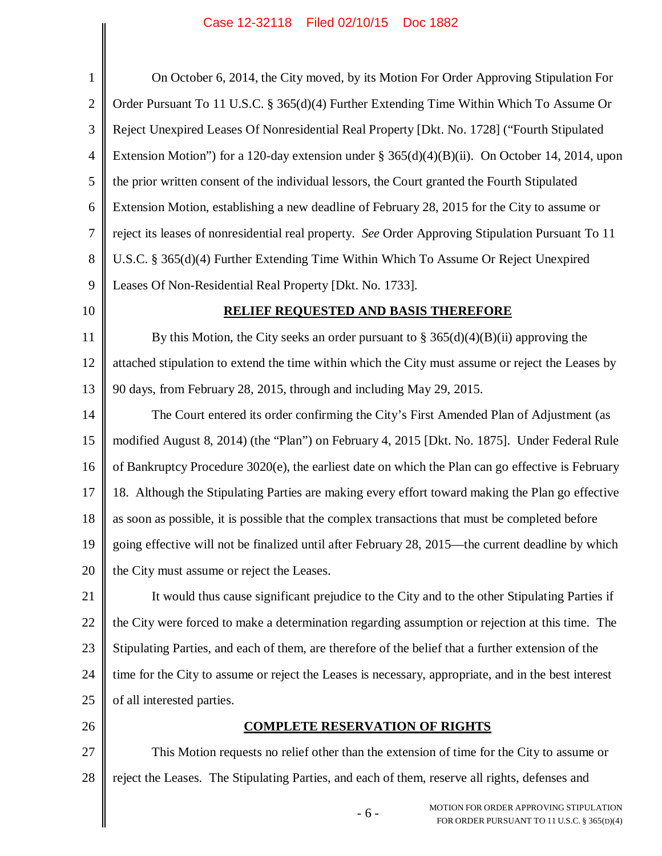| $\mathbf{1}$   | On October 6, 2014, the City moved, by its Motion For Order Approving Stipulation For                |
|----------------|------------------------------------------------------------------------------------------------------|
| $\overline{2}$ | Order Pursuant To 11 U.S.C. § 365(d)(4) Further Extending Time Within Which To Assume Or             |
| 3              | Reject Unexpired Leases Of Nonresidential Real Property [Dkt. No. 1728] ("Fourth Stipulated          |
| $\overline{4}$ | Extension Motion") for a 120-day extension under § 365(d)(4)(B)(ii). On October 14, 2014, upon       |
| 5              | the prior written consent of the individual lessors, the Court granted the Fourth Stipulated         |
| 6              | Extension Motion, establishing a new deadline of February 28, 2015 for the City to assume or         |
| $\tau$         | reject its leases of nonresidential real property. See Order Approving Stipulation Pursuant To 11    |
| 8              | U.S.C. § 365(d)(4) Further Extending Time Within Which To Assume Or Reject Unexpired                 |
| 9              | Leases Of Non-Residential Real Property [Dkt. No. 1733].                                             |
| 10             | <b>RELIEF REQUESTED AND BASIS THEREFORE</b>                                                          |
| 11             | By this Motion, the City seeks an order pursuant to $\S 365(d)(4)(B)(ii)$ approving the              |
| 12             | attached stipulation to extend the time within which the City must assume or reject the Leases by    |
| 13             | 90 days, from February 28, 2015, through and including May 29, 2015.                                 |
| 14             | The Court entered its order confirming the City's First Amended Plan of Adjustment (as               |
| 15             | modified August 8, 2014) (the "Plan") on February 4, 2015 [Dkt. No. 1875]. Under Federal Rule        |
| 16             | of Bankruptcy Procedure 3020(e), the earliest date on which the Plan can go effective is February    |
| 17             | 18. Although the Stipulating Parties are making every effort toward making the Plan go effective     |
| 18             | as soon as possible, it is possible that the complex transactions that must be completed before      |
| 19             | going effective will not be finalized until after February 28, 2015—the current deadline by which    |
| 20             | the City must assume or reject the Leases.                                                           |
| 21             | It would thus cause significant prejudice to the City and to the other Stipulating Parties if        |
| 22             | the City were forced to make a determination regarding assumption or rejection at this time. The     |
| 23             | Stipulating Parties, and each of them, are therefore of the belief that a further extension of the   |
| 24             | time for the City to assume or reject the Leases is necessary, appropriate, and in the best interest |
| 25             | of all interested parties.                                                                           |
| 26             | <b>COMPLETE RESERVATION OF RIGHTS</b>                                                                |
| 27             | This Motion requests no relief other than the extension of time for the City to assume or            |
| 28             | reject the Leases. The Stipulating Parties, and each of them, reserve all rights, defenses and       |
|                | MOTION FOR ORDER APPROVING STIPULATION<br>$-6-$<br>FOR ORDER PURSUANT TO 11 U.S.C. § 365(D)(4)       |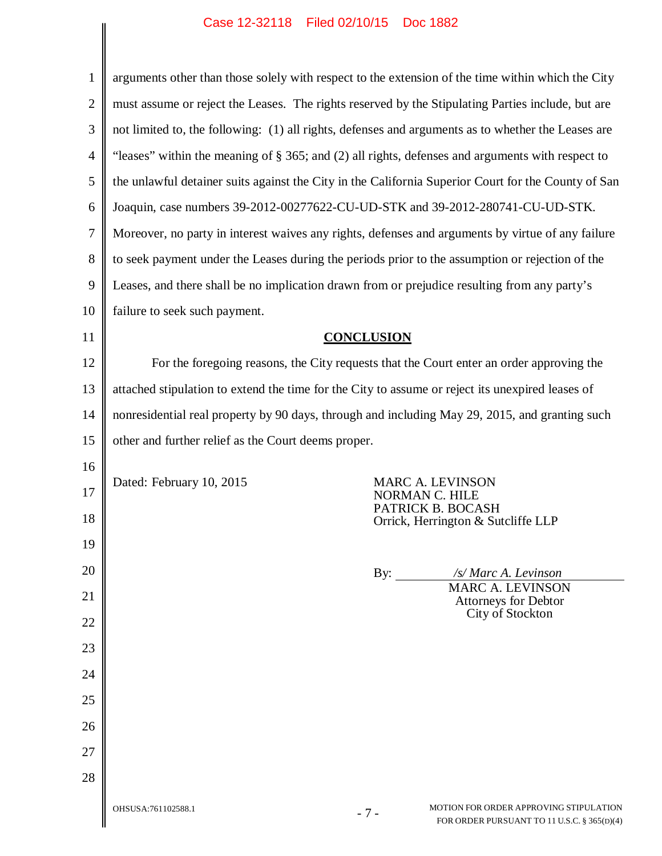|                | Case IZ-32110 Liled 02/10/13 DOC 1002                                                                                |  |  |
|----------------|----------------------------------------------------------------------------------------------------------------------|--|--|
| $\mathbf{1}$   | arguments other than those solely with respect to the extension of the time within which the City                    |  |  |
| $\overline{2}$ | must assume or reject the Leases. The rights reserved by the Stipulating Parties include, but are                    |  |  |
| 3              | not limited to, the following: (1) all rights, defenses and arguments as to whether the Leases are                   |  |  |
| $\overline{4}$ | "leases" within the meaning of § 365; and (2) all rights, defenses and arguments with respect to                     |  |  |
| 5              | the unlawful detainer suits against the City in the California Superior Court for the County of San                  |  |  |
| 6              | Joaquin, case numbers 39-2012-00277622-CU-UD-STK and 39-2012-280741-CU-UD-STK.                                       |  |  |
| 7              | Moreover, no party in interest waives any rights, defenses and arguments by virtue of any failure                    |  |  |
| 8              | to seek payment under the Leases during the periods prior to the assumption or rejection of the                      |  |  |
| 9              | Leases, and there shall be no implication drawn from or prejudice resulting from any party's                         |  |  |
| 10             | failure to seek such payment.                                                                                        |  |  |
| 11             | <b>CONCLUSION</b>                                                                                                    |  |  |
| 12             | For the foregoing reasons, the City requests that the Court enter an order approving the                             |  |  |
| 13             | attached stipulation to extend the time for the City to assume or reject its unexpired leases of                     |  |  |
| 14             | nonresidential real property by 90 days, through and including May 29, 2015, and granting such                       |  |  |
| 15             | other and further relief as the Court deems proper.                                                                  |  |  |
| 16             |                                                                                                                      |  |  |
| 17             | Dated: February 10, 2015<br>MARC A. LEVINSON<br>NORMAN C. HILE                                                       |  |  |
| 18             | PATRICK B. BOCASH<br>Orrick, Herrington & Sutcliffe LLP                                                              |  |  |
| 19             |                                                                                                                      |  |  |
| 20             | By:<br>/s/ Marc A. Levinson                                                                                          |  |  |
| 21             | <b>MARC A. LEVINSON</b><br>Attorneys for Debtor                                                                      |  |  |
| 22             | City of Stockton                                                                                                     |  |  |
| 23             |                                                                                                                      |  |  |
| 24             |                                                                                                                      |  |  |
| 25             |                                                                                                                      |  |  |
| 26             |                                                                                                                      |  |  |
| 27             |                                                                                                                      |  |  |
| 28             |                                                                                                                      |  |  |
|                | MOTION FOR ORDER APPROVING STIPULATION<br>OHSUSA:761102588.1<br>$-7-$<br>FOR ORDER PURSUANT TO 11 U.S.C. § 365(D)(4) |  |  |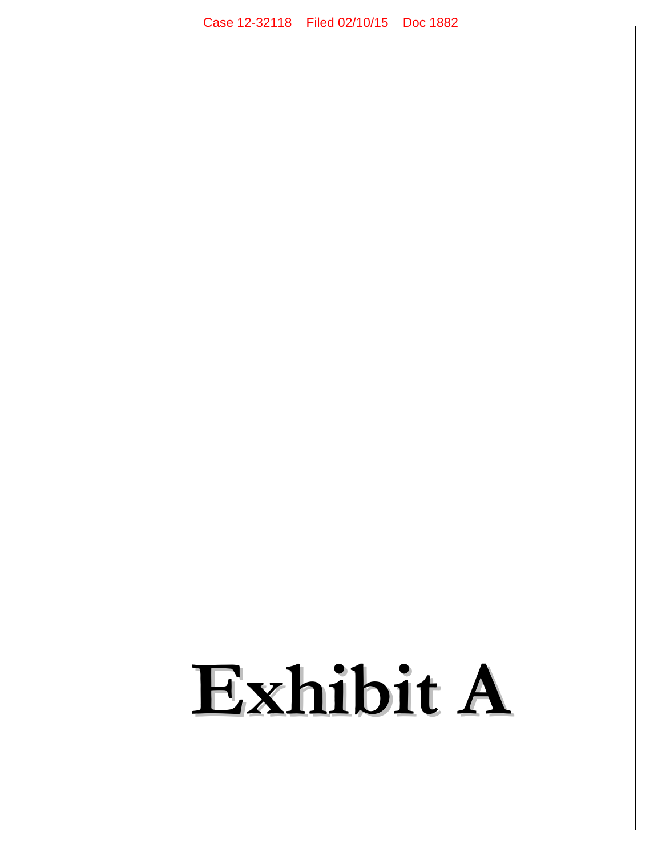# **Exhibit A**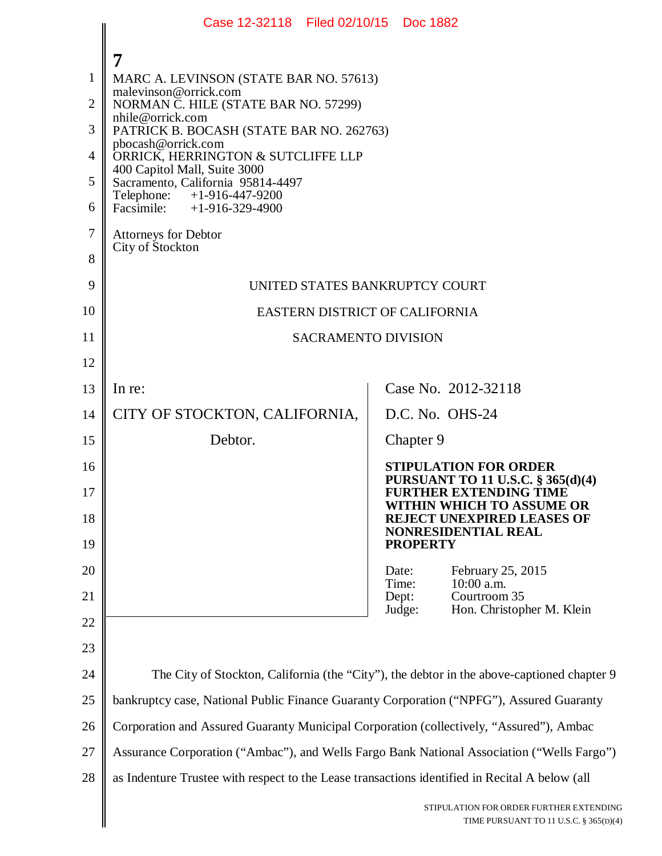|                | Case 12-32118 Filed 02/10/15 Doc 1882                                                          |                                                                                                 |  |
|----------------|------------------------------------------------------------------------------------------------|-------------------------------------------------------------------------------------------------|--|
|                |                                                                                                |                                                                                                 |  |
| $\mathbf{1}$   | MARC A. LEVINSON (STATE BAR NO. 57613)                                                         |                                                                                                 |  |
| $\overline{2}$ | malevinson@orrick.com<br>NORMAN C. HILE (STATE BAR NO. 57299)                                  |                                                                                                 |  |
| 3              | nhile@orrick.com<br>PATRICK B. BOCASH (STATE BAR NO. 262763)                                   |                                                                                                 |  |
| 4              | pbocash@orrick.com<br>ORRICK, HERRINGTON & SUTCLIFFE LLP                                       |                                                                                                 |  |
| 5              | 400 Capitol Mall, Suite 3000<br>Sacramento, California 95814-4497                              |                                                                                                 |  |
| 6              | $+1-916-447-9200$<br>Telephone:<br>Facsimile: $+1-916-329-4900$                                |                                                                                                 |  |
| $\overline{7}$ | <b>Attorneys for Debtor</b>                                                                    |                                                                                                 |  |
| 8              | City of Stockton                                                                               |                                                                                                 |  |
| 9              | UNITED STATES BANKRUPTCY COURT                                                                 |                                                                                                 |  |
| 10             | EASTERN DISTRICT OF CALIFORNIA                                                                 |                                                                                                 |  |
| 11             | <b>SACRAMENTO DIVISION</b>                                                                     |                                                                                                 |  |
| 12             |                                                                                                |                                                                                                 |  |
| 13             | In re:                                                                                         | Case No. 2012-32118                                                                             |  |
| 14             | CITY OF STOCKTON, CALIFORNIA,                                                                  | D.C. No. OHS-24                                                                                 |  |
| 15             | Debtor.                                                                                        | Chapter 9                                                                                       |  |
| 16             |                                                                                                | <b>STIPULATION FOR ORDER</b><br><b>PURSUANT TO 11 U.S.C. § 365(d)(4)</b>                        |  |
| 17<br>18       |                                                                                                | <b>FURTHER EXTENDING TIME</b><br>WITHIN WHICH TO ASSUME OR<br><b>REJECT UNEXPIRED LEASES OF</b> |  |
| 19             |                                                                                                | NONRESIDENTIAL REAL<br><b>PROPERTY</b>                                                          |  |
| 20             |                                                                                                | February 25, 2015<br>Date:                                                                      |  |
| 21             |                                                                                                | 10:00 a.m.<br>Time:<br>Courtroom 35<br>Dept:<br>Hon. Christopher M. Klein<br>Judge:             |  |
| 22             |                                                                                                |                                                                                                 |  |
| 23             |                                                                                                |                                                                                                 |  |
| 24             |                                                                                                | The City of Stockton, California (the "City"), the debtor in the above-captioned chapter 9      |  |
| 25             | bankruptcy case, National Public Finance Guaranty Corporation ("NPFG"), Assured Guaranty       |                                                                                                 |  |
| 26             | Corporation and Assured Guaranty Municipal Corporation (collectively, "Assured"), Ambac        |                                                                                                 |  |
| 27             | Assurance Corporation ("Ambac"), and Wells Fargo Bank National Association ("Wells Fargo")     |                                                                                                 |  |
| 28             | as Indenture Trustee with respect to the Lease transactions identified in Recital A below (all |                                                                                                 |  |
|                |                                                                                                | STIPULATION FOR ORDER FURTHER EXTENDING<br>TIME PURSUANT TO 11 U.S.C. § 365(D)(4)               |  |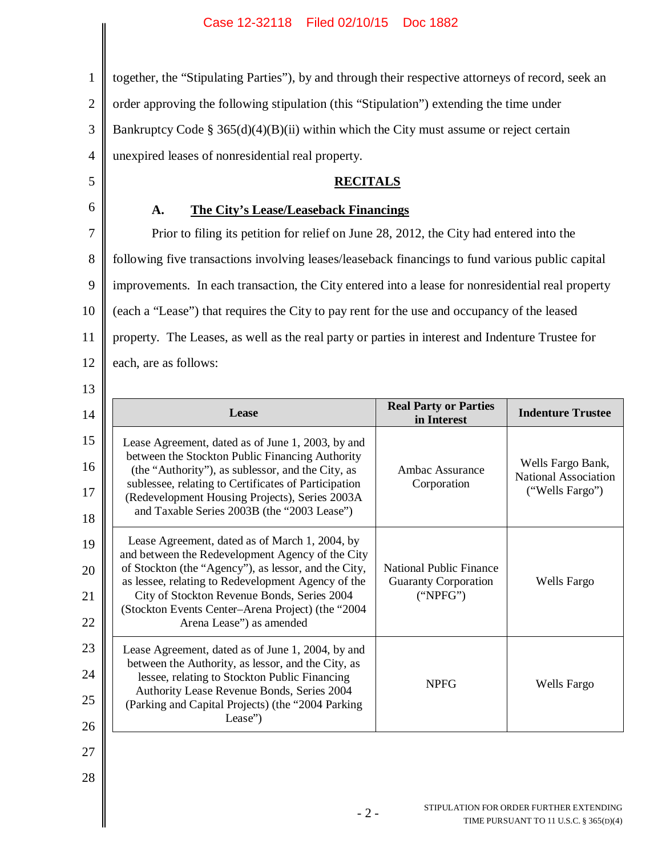1 2 3 4 together, the "Stipulating Parties"), by and through their respective attorneys of record, seek an order approving the following stipulation (this "Stipulation") extending the time under Bankruptcy Code § 365(d)(4)(B)(ii) within which the City must assume or reject certain unexpired leases of nonresidential real property.

# **RECITALS**

# **A. The City's Lease/Leaseback Financings**

5

6

7 8 9 10 11 12 13 Prior to filing its petition for relief on June 28, 2012, the City had entered into the following five transactions involving leases/leaseback financings to fund various public capital improvements. In each transaction, the City entered into a lease for nonresidential real property (each a "Lease") that requires the City to pay rent for the use and occupancy of the leased property. The Leases, as well as the real party or parties in interest and Indenture Trustee for each, are as follows:

| 14 | Lease                                                                                                  | <b>Real Party or Parties</b><br>in Interest | <b>Indenture Trustee</b>                         |
|----|--------------------------------------------------------------------------------------------------------|---------------------------------------------|--------------------------------------------------|
| 15 | Lease Agreement, dated as of June 1, 2003, by and                                                      |                                             |                                                  |
| 16 | between the Stockton Public Financing Authority<br>(the "Authority"), as sublessor, and the City, as   | Ambac Assurance                             | Wells Fargo Bank,<br><b>National Association</b> |
| 17 | sublessee, relating to Certificates of Participation<br>(Redevelopment Housing Projects), Series 2003A | Corporation                                 | ("Wells Fargo")                                  |
| 18 | and Taxable Series 2003B (the "2003 Lease")                                                            |                                             |                                                  |
| 19 | Lease Agreement, dated as of March 1, 2004, by<br>and between the Redevelopment Agency of the City     |                                             |                                                  |
| 20 | of Stockton (the "Agency"), as lessor, and the City,                                                   | <b>National Public Finance</b>              |                                                  |
| 21 | as lessee, relating to Redevelopment Agency of the<br>City of Stockton Revenue Bonds, Series 2004      | <b>Guaranty Corporation</b><br>("NPFG")     | Wells Fargo                                      |
| 22 | (Stockton Events Center-Arena Project) (the "2004<br>Arena Lease") as amended                          |                                             |                                                  |
| 23 | Lease Agreement, dated as of June 1, 2004, by and                                                      |                                             |                                                  |
| 24 | between the Authority, as lessor, and the City, as<br>lessee, relating to Stockton Public Financing    | <b>NPFG</b>                                 | Wells Fargo                                      |
| 25 | Authority Lease Revenue Bonds, Series 2004<br>(Parking and Capital Projects) (the "2004 Parking        |                                             |                                                  |
| 26 | Lease")                                                                                                |                                             |                                                  |
| 27 |                                                                                                        |                                             |                                                  |
| 28 |                                                                                                        |                                             |                                                  |

- 2 - STIPULATION FOR ORDER FURTHER EXTENDING TIME PURSUANT TO 11 U.S.C. § 365(D)(4)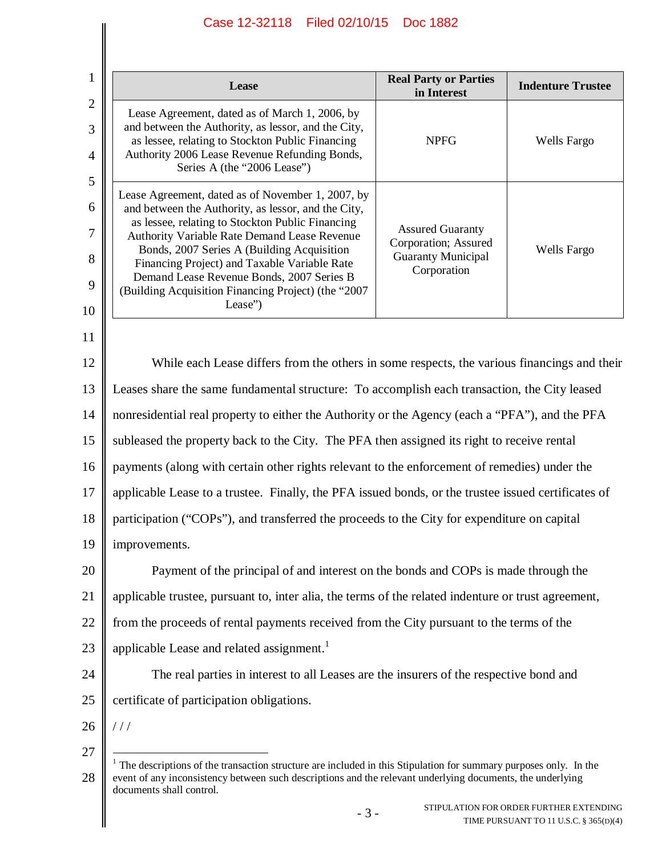| 1                                   | Lease                                                                                                                                                                                                                                                                                                                                                                                                                     | <b>Real Party or Parties</b><br>in Interest                                                 | <b>Indenture Trustee</b> |  |  |
|-------------------------------------|---------------------------------------------------------------------------------------------------------------------------------------------------------------------------------------------------------------------------------------------------------------------------------------------------------------------------------------------------------------------------------------------------------------------------|---------------------------------------------------------------------------------------------|--------------------------|--|--|
| $\mathbf{2}$<br>3<br>$\overline{4}$ | Lease Agreement, dated as of March 1, 2006, by<br>and between the Authority, as lessor, and the City,<br>as lessee, relating to Stockton Public Financing<br>Authority 2006 Lease Revenue Refunding Bonds,<br>Series A (the "2006 Lease")                                                                                                                                                                                 | <b>NPFG</b>                                                                                 | Wells Fargo              |  |  |
| 5<br>6<br>7<br>8<br>9<br>10         | Lease Agreement, dated as of November 1, 2007, by<br>and between the Authority, as lessor, and the City,<br>as lessee, relating to Stockton Public Financing<br>Authority Variable Rate Demand Lease Revenue<br>Bonds, 2007 Series A (Building Acquisition<br>Financing Project) and Taxable Variable Rate<br>Demand Lease Revenue Bonds, 2007 Series B<br>(Building Acquisition Financing Project) (the "2007<br>Lease") | <b>Assured Guaranty</b><br>Corporation; Assured<br><b>Guaranty Municipal</b><br>Corporation | Wells Fargo              |  |  |
| 11<br>12<br>13                      | While each Lease differs from the others in some respects, the various financings and their<br>Leases share the same fundamental structure: To accomplish each transaction, the City leased                                                                                                                                                                                                                               |                                                                                             |                          |  |  |
| 14                                  | nonresidential real property to either the Authority or the Agency (each a "PFA"), and the PFA                                                                                                                                                                                                                                                                                                                            |                                                                                             |                          |  |  |
| 15                                  | subleased the property back to the City. The PFA then assigned its right to receive rental                                                                                                                                                                                                                                                                                                                                |                                                                                             |                          |  |  |
| 16                                  | payments (along with certain other rights relevant to the enforcement of remedies) under the                                                                                                                                                                                                                                                                                                                              |                                                                                             |                          |  |  |
| 17                                  | applicable Lease to a trustee. Finally, the PFA issued bonds, or the trustee issued certificates of                                                                                                                                                                                                                                                                                                                       |                                                                                             |                          |  |  |
| 18                                  | participation ("COPs"), and transferred the proceeds to the City for expenditure on capital                                                                                                                                                                                                                                                                                                                               |                                                                                             |                          |  |  |
| 19                                  | improvements.                                                                                                                                                                                                                                                                                                                                                                                                             |                                                                                             |                          |  |  |
| 20                                  | Payment of the principal of and interest on the bonds and COPs is made through the                                                                                                                                                                                                                                                                                                                                        |                                                                                             |                          |  |  |
| 21                                  | applicable trustee, pursuant to, inter alia, the terms of the related indenture or trust agreement,                                                                                                                                                                                                                                                                                                                       |                                                                                             |                          |  |  |
| 22                                  | from the proceeds of rental payments received from the City pursuant to the terms of the                                                                                                                                                                                                                                                                                                                                  |                                                                                             |                          |  |  |
| 23                                  | applicable Lease and related assignment. <sup>1</sup>                                                                                                                                                                                                                                                                                                                                                                     |                                                                                             |                          |  |  |
| 24                                  | The real parties in interest to all Leases are the insurers of the respective bond and                                                                                                                                                                                                                                                                                                                                    |                                                                                             |                          |  |  |
| 25                                  | certificate of participation obligations.                                                                                                                                                                                                                                                                                                                                                                                 |                                                                                             |                          |  |  |
| 26                                  | //                                                                                                                                                                                                                                                                                                                                                                                                                        |                                                                                             |                          |  |  |
| 27                                  | The descriptions of the transaction structure are included in this Stipulation for summary purposes only. In the                                                                                                                                                                                                                                                                                                          |                                                                                             |                          |  |  |

<sup>28 |</sup> event of any inconsistency between such descriptions and the relevant underlying documents, the underlying documents shall control.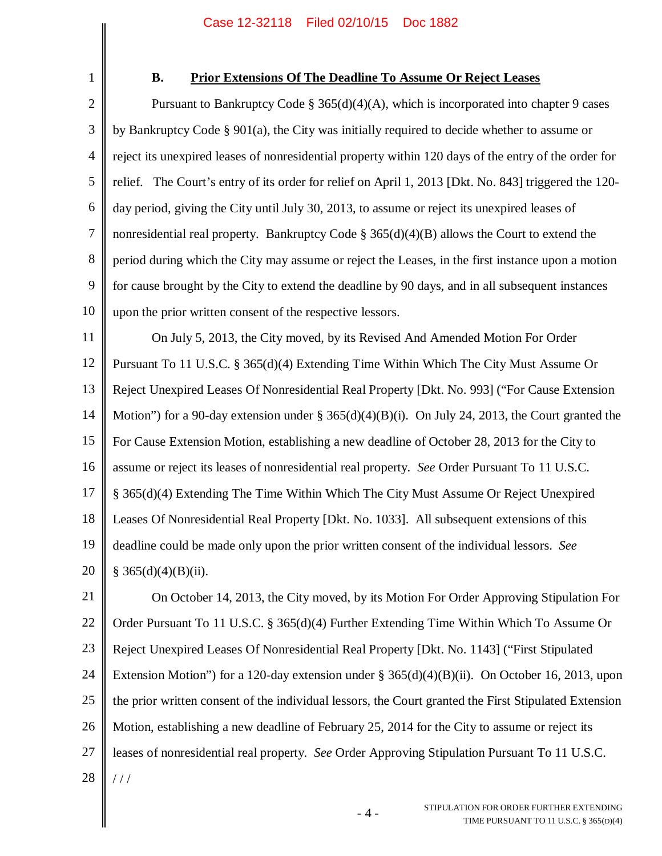1

### **B. Prior Extensions Of The Deadline To Assume Or Reject Leases**

2 3 4 5 6 7 8 9 10 Pursuant to Bankruptcy Code  $\S 365(d)(4)(A)$ , which is incorporated into chapter 9 cases by Bankruptcy Code § 901(a), the City was initially required to decide whether to assume or reject its unexpired leases of nonresidential property within 120 days of the entry of the order for relief. The Court's entry of its order for relief on April 1, 2013 [Dkt. No. 843] triggered the 120 day period, giving the City until July 30, 2013, to assume or reject its unexpired leases of nonresidential real property. Bankruptcy Code  $\S 365(d)(4)(B)$  allows the Court to extend the period during which the City may assume or reject the Leases, in the first instance upon a motion for cause brought by the City to extend the deadline by 90 days, and in all subsequent instances upon the prior written consent of the respective lessors.

11 12 13 14 15 16 17 18 19 20 On July 5, 2013, the City moved, by its Revised And Amended Motion For Order Pursuant To 11 U.S.C. § 365(d)(4) Extending Time Within Which The City Must Assume Or Reject Unexpired Leases Of Nonresidential Real Property [Dkt. No. 993] ("For Cause Extension Motion") for a 90-day extension under § 365(d)(4)(B)(i). On July 24, 2013, the Court granted the For Cause Extension Motion, establishing a new deadline of October 28, 2013 for the City to assume or reject its leases of nonresidential real property. *See* Order Pursuant To 11 U.S.C. § 365(d)(4) Extending The Time Within Which The City Must Assume Or Reject Unexpired Leases Of Nonresidential Real Property [Dkt. No. 1033]. All subsequent extensions of this deadline could be made only upon the prior written consent of the individual lessors. *See*  $§ 365(d)(4)(B)(ii).$ 

21 22 23 24 25 26 27 28 On October 14, 2013, the City moved, by its Motion For Order Approving Stipulation For Order Pursuant To 11 U.S.C. § 365(d)(4) Further Extending Time Within Which To Assume Or Reject Unexpired Leases Of Nonresidential Real Property [Dkt. No. 1143] ("First Stipulated Extension Motion") for a 120-day extension under § 365(d)(4)(B)(ii). On October 16, 2013, upon the prior written consent of the individual lessors, the Court granted the First Stipulated Extension Motion, establishing a new deadline of February 25, 2014 for the City to assume or reject its leases of nonresidential real property. *See* Order Approving Stipulation Pursuant To 11 U.S.C.  $/ /$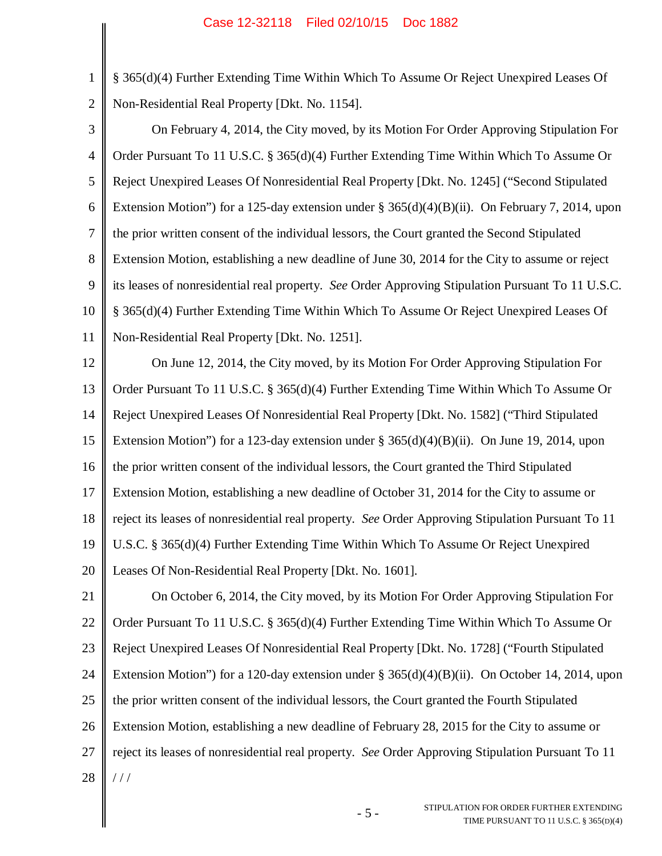1

2

§ 365(d)(4) Further Extending Time Within Which To Assume Or Reject Unexpired Leases Of Non-Residential Real Property [Dkt. No. 1154].

3 4 5 6 7 8 9 10 11 On February 4, 2014, the City moved, by its Motion For Order Approving Stipulation For Order Pursuant To 11 U.S.C. § 365(d)(4) Further Extending Time Within Which To Assume Or Reject Unexpired Leases Of Nonresidential Real Property [Dkt. No. 1245] ("Second Stipulated Extension Motion") for a 125-day extension under § 365(d)(4)(B)(ii). On February 7, 2014, upon the prior written consent of the individual lessors, the Court granted the Second Stipulated Extension Motion, establishing a new deadline of June 30, 2014 for the City to assume or reject its leases of nonresidential real property. *See* Order Approving Stipulation Pursuant To 11 U.S.C. § 365(d)(4) Further Extending Time Within Which To Assume Or Reject Unexpired Leases Of Non-Residential Real Property [Dkt. No. 1251].

12 13 14 15 16 17 18 19 20 On June 12, 2014, the City moved, by its Motion For Order Approving Stipulation For Order Pursuant To 11 U.S.C. § 365(d)(4) Further Extending Time Within Which To Assume Or Reject Unexpired Leases Of Nonresidential Real Property [Dkt. No. 1582] ("Third Stipulated Extension Motion") for a 123-day extension under  $\S 365(d)(4)(B)(ii)$ . On June 19, 2014, upon the prior written consent of the individual lessors, the Court granted the Third Stipulated Extension Motion, establishing a new deadline of October 31, 2014 for the City to assume or reject its leases of nonresidential real property. *See* Order Approving Stipulation Pursuant To 11 U.S.C. § 365(d)(4) Further Extending Time Within Which To Assume Or Reject Unexpired Leases Of Non-Residential Real Property [Dkt. No. 1601].

21 22 23 24 25 26 27 28 On October 6, 2014, the City moved, by its Motion For Order Approving Stipulation For Order Pursuant To 11 U.S.C. § 365(d)(4) Further Extending Time Within Which To Assume Or Reject Unexpired Leases Of Nonresidential Real Property [Dkt. No. 1728] ("Fourth Stipulated Extension Motion") for a 120-day extension under § 365(d)(4)(B)(ii). On October 14, 2014, upon the prior written consent of the individual lessors, the Court granted the Fourth Stipulated Extension Motion, establishing a new deadline of February 28, 2015 for the City to assume or reject its leases of nonresidential real property. *See* Order Approving Stipulation Pursuant To 11 / / /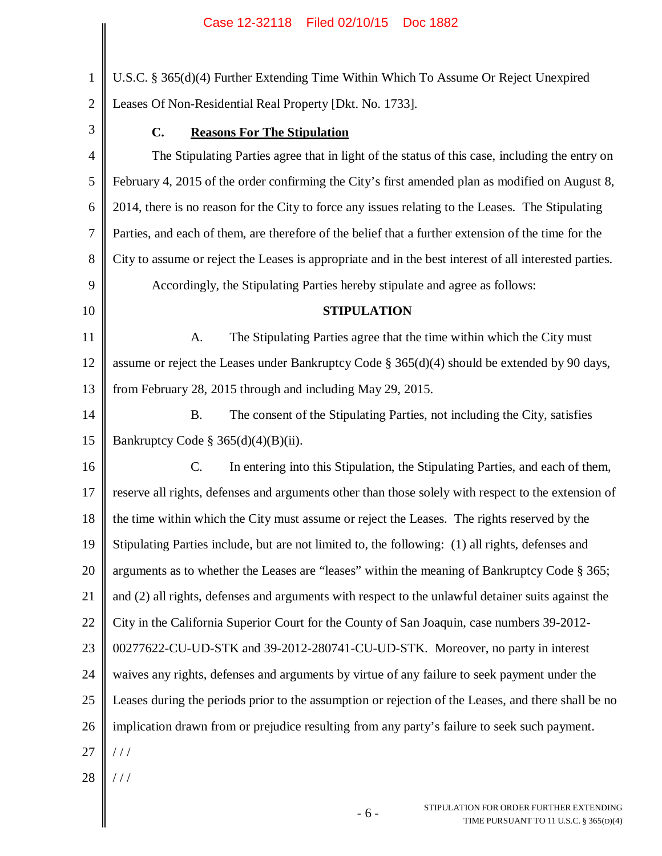1 2 U.S.C. § 365(d)(4) Further Extending Time Within Which To Assume Or Reject Unexpired Leases Of Non-Residential Real Property [Dkt. No. 1733].

- 3 4 5 6 7 8 9 10 11 12 13 14 15 16 17 18 19 20 21 22 23 24 25 **C. Reasons For The Stipulation** The Stipulating Parties agree that in light of the status of this case, including the entry on February 4, 2015 of the order confirming the City's first amended plan as modified on August 8, 2014, there is no reason for the City to force any issues relating to the Leases. The Stipulating Parties, and each of them, are therefore of the belief that a further extension of the time for the City to assume or reject the Leases is appropriate and in the best interest of all interested parties. Accordingly, the Stipulating Parties hereby stipulate and agree as follows: **STIPULATION** A. The Stipulating Parties agree that the time within which the City must assume or reject the Leases under Bankruptcy Code  $\S 365(d)(4)$  should be extended by 90 days, from February 28, 2015 through and including May 29, 2015. B. The consent of the Stipulating Parties, not including the City, satisfies Bankruptcy Code §  $365(d)(4)(B)(ii)$ . C. In entering into this Stipulation, the Stipulating Parties, and each of them, reserve all rights, defenses and arguments other than those solely with respect to the extension of the time within which the City must assume or reject the Leases. The rights reserved by the Stipulating Parties include, but are not limited to, the following: (1) all rights, defenses and arguments as to whether the Leases are "leases" within the meaning of Bankruptcy Code § 365; and (2) all rights, defenses and arguments with respect to the unlawful detainer suits against the City in the California Superior Court for the County of San Joaquin, case numbers 39-2012- 00277622-CU-UD-STK and 39-2012-280741-CU-UD-STK. Moreover, no party in interest waives any rights, defenses and arguments by virtue of any failure to seek payment under the Leases during the periods prior to the assumption or rejection of the Leases, and there shall be no
- 26 implication drawn from or prejudice resulting from any party's failure to seek such payment.
- 27 / / /
- 28 / / /